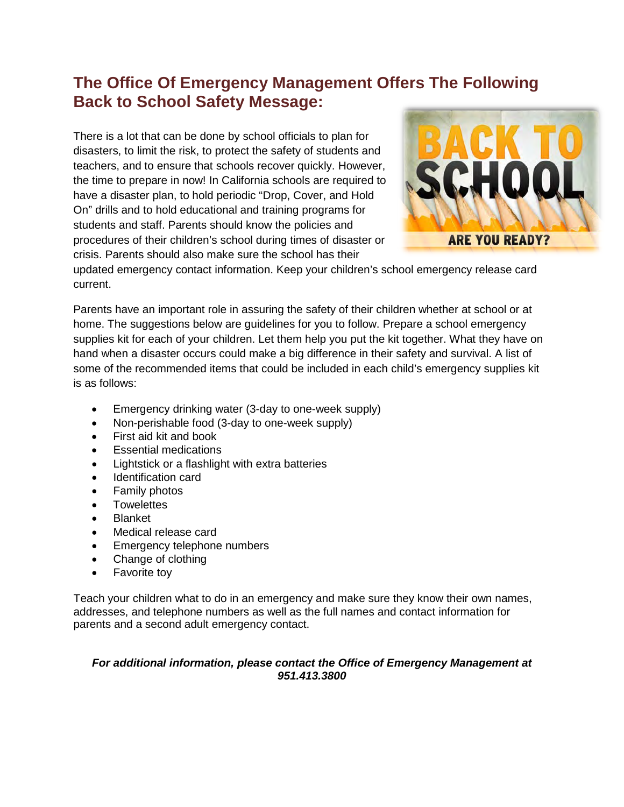## **The Office Of Emergency Management Offers The Following Back to School Safety Message:**

There is a lot that can be done by school officials to plan for disasters, to limit the risk, to protect the safety of students and teachers, and to ensure that schools recover quickly. However, the time to prepare in now! In California schools are required to have a disaster plan, to hold periodic "Drop, Cover, and Hold On" drills and to hold educational and training programs for students and staff. Parents should know the policies and procedures of their children's school during times of disaster or crisis. Parents should also make sure the school has their



updated emergency contact information. Keep your children's school emergency release card current.

Parents have an important role in assuring the safety of their children whether at school or at home. The suggestions below are guidelines for you to follow. Prepare a school emergency supplies kit for each of your children. Let them help you put the kit together. What they have on hand when a disaster occurs could make a big difference in their safety and survival. A list of some of the recommended items that could be included in each child's emergency supplies kit is as follows:

- Emergency drinking water (3-day to one-week supply)
- Non-perishable food (3-day to one-week supply)
- First aid kit and book
- Essential medications
- Lightstick or a flashlight with extra batteries
- Identification card
- Family photos
- Towelettes
- Blanket
- Medical release card
- Emergency telephone numbers
- Change of clothing
- Favorite toy

Teach your children what to do in an emergency and make sure they know their own names, addresses, and telephone numbers as well as the full names and contact information for parents and a second adult emergency contact.

#### *For additional information, please contact the Office of Emergency Management at 951.413.3800*